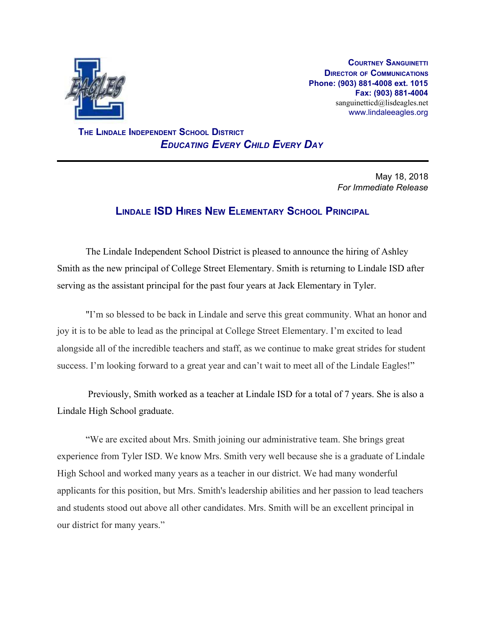

**COURTNEY SANGUINETTI DIRECTOR OF COMMUNICATIONS Phone: (903) 881-4008 ext. 1015 Fax: (903) 881-4004** sanguinetticd@lisdeagles.net www.lindaleeagles.org

 **THE LINDALE INDEPENDENT SCHOOL DISTRICT** *EDUCATING EVERY CHILD EVERY DAY*

> May 18, 2018 *For Immediate Release*

## **LINDALE ISD HIRES NEW ELEMENTARY SCHOOL PRINCIPAL**

The Lindale Independent School District is pleased to announce the hiring of Ashley Smith as the new principal of College Street Elementary. Smith is returning to Lindale ISD after serving as the assistant principal for the past four years at Jack Elementary in Tyler.

"I'm so blessed to be back in Lindale and serve this great community. What an honor and joy it is to be able to lead as the principal at College Street Elementary. I'm excited to lead alongside all of the incredible teachers and staff, as we continue to make great strides for student success. I'm looking forward to a great year and can't wait to meet all of the Lindale Eagles!"

 Previously, Smith worked as a teacher at Lindale ISD for a total of 7 years. She is also a Lindale High School graduate.

"We are excited about Mrs. Smith joining our administrative team. She brings great experience from Tyler ISD. We know Mrs. Smith very well because she is a graduate of Lindale High School and worked many years as a teacher in our district. We had many wonderful applicants for this position, but Mrs. Smith's leadership abilities and her passion to lead teachers and students stood out above all other candidates. Mrs. Smith will be an excellent principal in our district for many years."